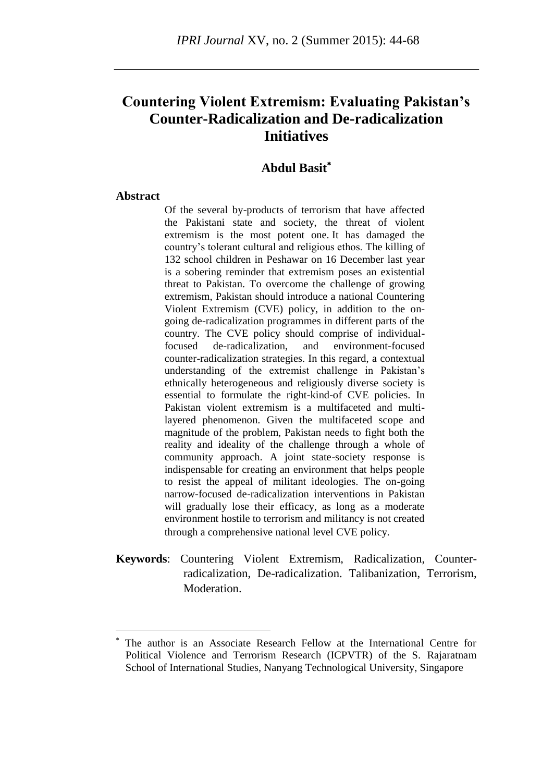# **Countering Violent Extremism: Evaluating Pakistan's Counter-Radicalization and De-radicalization Initiatives**

# **Abdul Basit**

#### **Abstract**

1

Of the several by-products of terrorism that have affected the Pakistani state and society, the threat of violent extremism is the most potent one. It has damaged the country"s tolerant cultural and religious ethos. The killing of 132 school children in Peshawar on 16 December last year is a sobering reminder that extremism poses an existential threat to Pakistan. To overcome the challenge of growing extremism, Pakistan should introduce a national Countering Violent Extremism (CVE) policy, in addition to the ongoing de-radicalization programmes in different parts of the country. The CVE policy should comprise of individualfocused de-radicalization, and environment-focused counter-radicalization strategies. In this regard, a contextual understanding of the extremist challenge in Pakistan"s ethnically heterogeneous and religiously diverse society is essential to formulate the right-kind-of CVE policies. In Pakistan violent extremism is a multifaceted and multilayered phenomenon. Given the multifaceted scope and magnitude of the problem, Pakistan needs to fight both the reality and ideality of the challenge through a whole of community approach. A joint state-society response is indispensable for creating an environment that helps people to resist the appeal of militant ideologies. The on-going narrow-focused de-radicalization interventions in Pakistan will gradually lose their efficacy, as long as a moderate environment hostile to terrorism and militancy is not created through a comprehensive national level CVE policy.

**Keywords**: Countering Violent Extremism, Radicalization, Counterradicalization, De-radicalization. Talibanization, Terrorism, Moderation.

The author is an Associate Research Fellow at the International Centre for Political Violence and Terrorism Research (ICPVTR) of the S. Rajaratnam School of International Studies, Nanyang Technological University, Singapore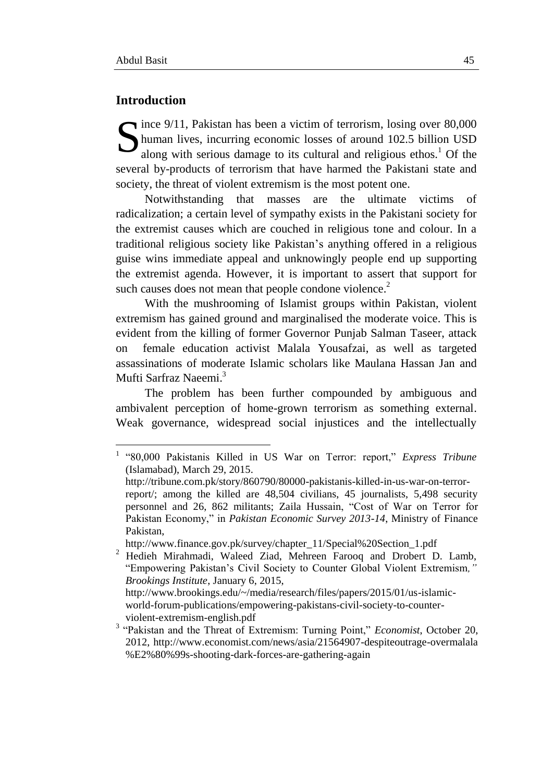## **Introduction**

Since 9/11, Pakistan has been a victim of terrorism, losing over 80,000 human lives, incurring economic losses of around 102.5 billion USD along with serious damage to its cultural and religious ethos.<sup>1</sup> Of the human lives, incurring economic losses of around 102.5 billion USD along with serious damage to its cultural and religious ethos.<sup>1</sup> Of the several by-products of terrorism that have harmed the Pakistani state and society, the threat of violent extremism is the most potent one.

Notwithstanding that masses are the ultimate victims of radicalization; a certain level of sympathy exists in the Pakistani society for the extremist causes which are couched in religious tone and colour. In a traditional religious society like Pakistan"s anything offered in a religious guise wins immediate appeal and unknowingly people end up supporting the extremist agenda. However, it is important to assert that support for such causes does not mean that people condone violence.<sup>2</sup>

With the mushrooming of Islamist groups within Pakistan, violent extremism has gained ground and marginalised the moderate voice. This is evident from the killing of former Governor Punjab Salman Taseer, attack on female education activist Malala Yousafzai, as well as targeted assassinations of moderate Islamic scholars like Maulana Hassan Jan and Mufti Sarfraz Naeemi.<sup>3</sup>

The problem has been further compounded by ambiguous and ambivalent perception of home-grown terrorism as something external. Weak governance, widespread social injustices and the intellectually

 1 "80,000 Pakistanis Killed in US War on Terror: report," *Express Tribune* (Islamabad), March 29, 2015. http://tribune.com.pk/story/860790/80000-pakistanis-killed-in-us-war-on-terror-

report/; among the killed are 48,504 civilians, 45 journalists, 5,498 security personnel and 26, 862 militants; Zaila Hussain, "Cost of War on Terror for Pakistan Economy," in *Pakistan Economic Survey 2013-14*, Ministry of Finance Pakistan,

http://www.finance.gov.pk/survey/chapter\_11/Special%20Section\_1.pdf

<sup>&</sup>lt;sup>2</sup> Hedieh Mirahmadi, Waleed Ziad, Mehreen Farooq and Drobert D. Lamb, "Empowering Pakistan"s Civil Society to Counter Global Violent Extremism*," Brookings Institute*, January 6, 2015,

http://www.brookings.edu/~/media/research/files/papers/2015/01/us-islamicworld-forum-publications/empowering-pakistans-civil-society-to-counterviolent-extremism-english.pdf

<sup>&</sup>lt;sup>3</sup> "Pakistan and the Threat of Extremism: Turning Point," *Economist*, October 20, 2012, http://www.economist.com/news/asia/21564907-despiteoutrage-overmalala %E2%80%99s-shooting-dark-forces-are-gathering-again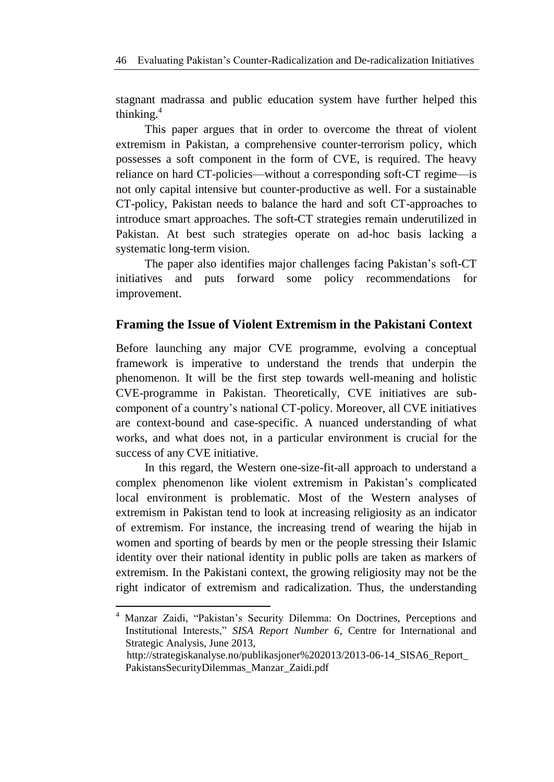stagnant madrassa and public education system have further helped this thinking. 4

This paper argues that in order to overcome the threat of violent extremism in Pakistan, a comprehensive counter-terrorism policy, which possesses a soft component in the form of CVE, is required. The heavy reliance on hard CT-policies—without a corresponding soft-CT regime—is not only capital intensive but counter-productive as well. For a sustainable CT-policy, Pakistan needs to balance the hard and soft CT-approaches to introduce smart approaches. The soft-CT strategies remain underutilized in Pakistan. At best such strategies operate on ad-hoc basis lacking a systematic long-term vision.

The paper also identifies major challenges facing Pakistan's soft-CT initiatives and puts forward some policy recommendations for improvement.

# **Framing the Issue of Violent Extremism in the Pakistani Context**

Before launching any major CVE programme, evolving a conceptual framework is imperative to understand the trends that underpin the phenomenon. It will be the first step towards well-meaning and holistic CVE-programme in Pakistan. Theoretically, CVE initiatives are subcomponent of a country"s national CT-policy. Moreover, all CVE initiatives are context-bound and case-specific. A nuanced understanding of what works, and what does not, in a particular environment is crucial for the success of any CVE initiative.

In this regard, the Western one-size-fit-all approach to understand a complex phenomenon like violent extremism in Pakistan"s complicated local environment is problematic. Most of the Western analyses of extremism in Pakistan tend to look at increasing religiosity as an indicator of extremism. For instance, the increasing trend of wearing the hijab in women and sporting of beards by men or the people stressing their Islamic identity over their national identity in public polls are taken as markers of extremism. In the Pakistani context, the growing religiosity may not be the right indicator of extremism and radicalization. Thus, the understanding

1

Manzar Zaidi, "Pakistan's Security Dilemma: On Doctrines, Perceptions and Institutional Interests," *SISA Report Number 6*, Centre for International and Strategic Analysis, June 2013,

http://strategiskanalyse.no/publikasjoner%202013/2013-06-14\_SISA6\_Report\_ PakistansSecurityDilemmas\_Manzar\_Zaidi.pdf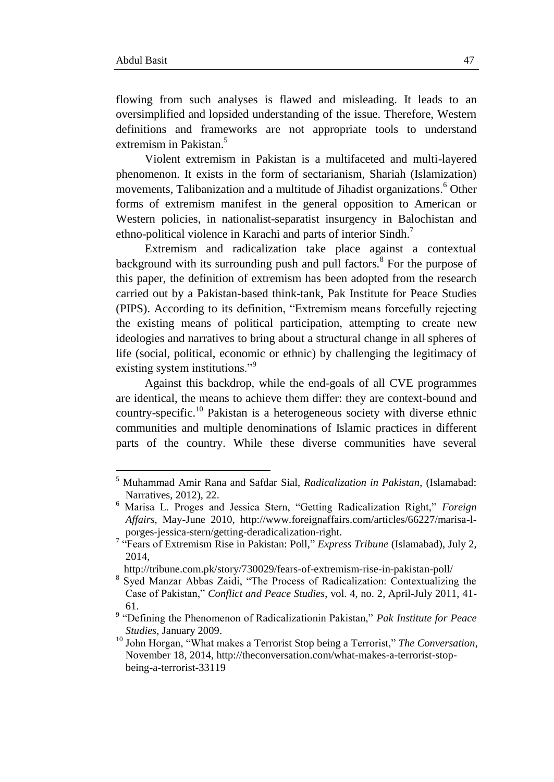**.** 

flowing from such analyses is flawed and misleading. It leads to an oversimplified and lopsided understanding of the issue. Therefore, Western definitions and frameworks are not appropriate tools to understand extremism in Pakistan.<sup>5</sup>

Violent extremism in Pakistan is a multifaceted and multi-layered phenomenon. It exists in the form of sectarianism, Shariah (Islamization) movements, Talibanization and a multitude of Jihadist organizations.<sup>6</sup> Other forms of extremism manifest in the general opposition to American or Western policies, in nationalist-separatist insurgency in Balochistan and ethno-political violence in Karachi and parts of interior Sindh.<sup>7</sup>

Extremism and radicalization take place against a contextual background with its surrounding push and pull factors.<sup>8</sup> For the purpose of this paper, the definition of extremism has been adopted from the research carried out by a Pakistan-based think-tank, Pak Institute for Peace Studies (PIPS). According to its definition, "Extremism means forcefully rejecting the existing means of political participation, attempting to create new ideologies and narratives to bring about a structural change in all spheres of life (social, political, economic or ethnic) by challenging the legitimacy of existing system institutions."<sup>9</sup>

Against this backdrop, while the end-goals of all CVE programmes are identical, the means to achieve them differ: they are context-bound and country-specific.<sup>10</sup> Pakistan is a heterogeneous society with diverse ethnic communities and multiple denominations of Islamic practices in different parts of the country. While these diverse communities have several

<sup>5</sup> Muhammad Amir Rana and Safdar Sial, *Radicalization in Pakistan*, (Islamabad: Narratives, 2012), 22.

<sup>6</sup> Marisa L. Proges and Jessica Stern, "Getting Radicalization Right," *Foreign Affairs*, May-June 2010, http://www.foreignaffairs.com/articles/66227/marisa-lporges-jessica-stern/getting-deradicalization-right.

<sup>&</sup>lt;sup>7</sup> "Fears of Extremism Rise in Pakistan: Poll," *Express Tribune* (Islamabad), July 2, 2014,

http://tribune.com.pk/story/730029/fears-of-extremism-rise-in-pakistan-poll/

<sup>8</sup> Syed Manzar Abbas Zaidi, "The Process of Radicalization: Contextualizing the Case of Pakistan," *Conflict and Peace Studies*, vol. 4, no. 2, April-July 2011, 41- 61.

<sup>9</sup> "Defining the Phenomenon of Radicalizationin Pakistan," *Pak Institute for Peace Studies*, January 2009.

<sup>10</sup> John Horgan, "What makes a Terrorist Stop being a Terrorist," *The Conversation*, November 18, 2014, http://theconversation.com/what-makes-a-terrorist-stopbeing-a-terrorist-33119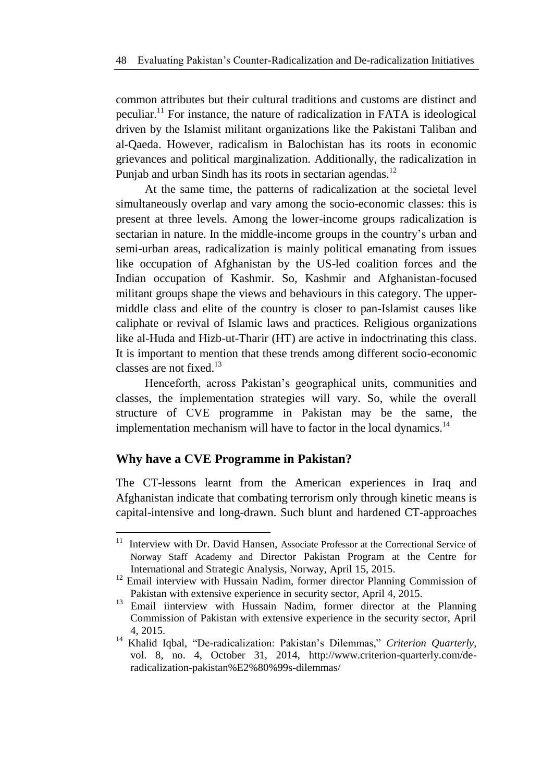common attributes but their cultural traditions and customs are distinct and peculiar.<sup>11</sup> For instance, the nature of radicalization in FATA is ideological driven by the Islamist militant organizations like the Pakistani Taliban and al-Qaeda. However, radicalism in Balochistan has its roots in economic grievances and political marginalization. Additionally, the radicalization in Punjab and urban Sindh has its roots in sectarian agendas.<sup>12</sup>

At the same time, the patterns of radicalization at the societal level simultaneously overlap and vary among the socio-economic classes: this is present at three levels. Among the lower-income groups radicalization is sectarian in nature. In the middle-income groups in the country"s urban and semi-urban areas, radicalization is mainly political emanating from issues like occupation of Afghanistan by the US-led coalition forces and the Indian occupation of Kashmir. So, Kashmir and Afghanistan-focused militant groups shape the views and behaviours in this category. The uppermiddle class and elite of the country is closer to pan-Islamist causes like caliphate or revival of Islamic laws and practices. Religious organizations like al-Huda and Hizb-ut-Tharir (HT) are active in indoctrinating this class. It is important to mention that these trends among different socio-economic classes are not fixed.<sup>13</sup>

Henceforth, across Pakistan's geographical units, communities and classes, the implementation strategies will vary. So, while the overall structure of CVE programme in Pakistan may be the same, the implementation mechanism will have to factor in the local dynamics.<sup>14</sup>

# **Why have a CVE Programme in Pakistan?**

1

The CT-lessons learnt from the American experiences in Iraq and Afghanistan indicate that combating terrorism only through kinetic means is capital-intensive and long-drawn. Such blunt and hardened CT-approaches

<sup>&</sup>lt;sup>11</sup> Interview with Dr. David Hansen, Associate Professor at the Correctional Service of Norway Staff Academy and Director Pakistan Program at the Centre for International and Strategic Analysis, Norway, April 15, 2015.

<sup>&</sup>lt;sup>12</sup> Email interview with Hussain Nadim, former director Planning Commission of Pakistan with extensive experience in security sector, April 4, 2015.

<sup>&</sup>lt;sup>13</sup> Email iinterview with Hussain Nadim, former director at the Planning Commission of Pakistan with extensive experience in the security sector, April 4, 2015.

<sup>&</sup>lt;sup>14</sup> Khalid Iqbal, "De-radicalization: Pakistan's Dilemmas," Criterion Quarterly, vol. 8, no. 4, October 31, 2014, http://www.criterion-quarterly.com/deradicalization-pakistan%E2%80%99s-dilemmas/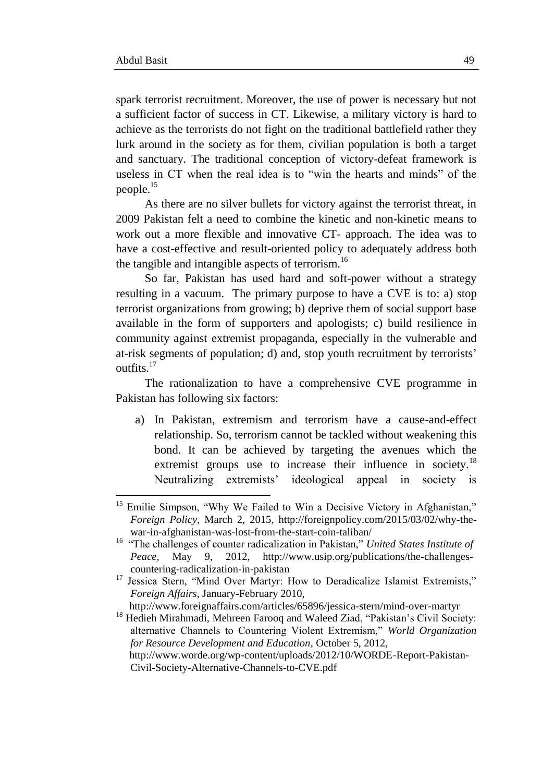1

spark terrorist recruitment. Moreover, the use of power is necessary but not a sufficient factor of success in CT. Likewise, a military victory is hard to achieve as the terrorists do not fight on the traditional battlefield rather they lurk around in the society as for them, civilian population is both a target and sanctuary. The traditional conception of victory-defeat framework is useless in CT when the real idea is to "win the hearts and minds" of the people.<sup>15</sup>

As there are no silver bullets for victory against the terrorist threat, in 2009 Pakistan felt a need to combine the kinetic and non-kinetic means to work out a more flexible and innovative CT- approach. The idea was to have a cost-effective and result-oriented policy to adequately address both the tangible and intangible aspects of terrorism.<sup>16</sup>

So far, Pakistan has used hard and soft-power without a strategy resulting in a vacuum. The primary purpose to have a CVE is to: a) stop terrorist organizations from growing; b) deprive them of social support base available in the form of supporters and apologists; c) build resilience in community against extremist propaganda, especially in the vulnerable and at-risk segments of population; d) and, stop youth recruitment by terrorists" outfits. 17

The rationalization to have a comprehensive CVE programme in Pakistan has following six factors:

a) In Pakistan, extremism and terrorism have a cause-and-effect relationship. So, terrorism cannot be tackled without weakening this bond. It can be achieved by targeting the avenues which the extremist groups use to increase their influence in society.<sup>18</sup> Neutralizing extremists' ideological appeal in society is

http://www.foreignaffairs.com/articles/65896/jessica-stern/mind-over-martyr

<sup>&</sup>lt;sup>15</sup> Emilie Simpson, "Why We Failed to Win a Decisive Victory in Afghanistan," *Foreign Policy*, March 2, 2015, http://foreignpolicy.com/2015/03/02/why-thewar-in-afghanistan-was-lost-from-the-start-coin-taliban/

<sup>&</sup>lt;sup>16</sup> "The challenges of counter radicalization in Pakistan," United States Institute of *Peace*, May 9, 2012, http://www.usip.org/publications/the-challengescountering-radicalization-in-pakistan

<sup>&</sup>lt;sup>17</sup> Jessica Stern, "Mind Over Martyr: How to Deradicalize Islamist Extremists," *Foreign Affairs*, January-February 2010,

<sup>&</sup>lt;sup>18</sup> Hedieh Mirahmadi, Mehreen Farooq and Waleed Ziad, "Pakistan's Civil Society: alternative Channels to Countering Violent Extremism," *World Organization for Resource Development and Education*, October 5, 2012,

http://www.worde.org/wp-content/uploads/2012/10/WORDE-Report-Pakistan-Civil-Society-Alternative-Channels-to-CVE.pdf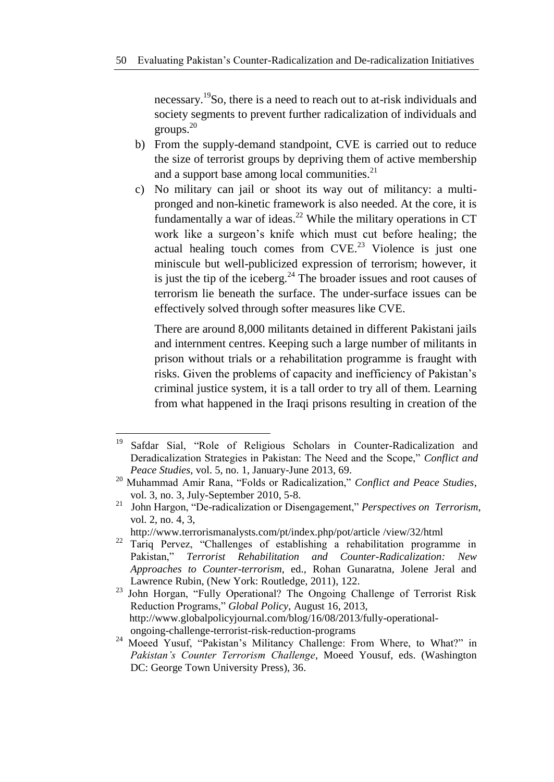necessary.<sup>19</sup>So, there is a need to reach out to at-risk individuals and society segments to prevent further radicalization of individuals and groups.<sup>20</sup>

- b) From the supply-demand standpoint, CVE is carried out to reduce the size of terrorist groups by depriving them of active membership and a support base among local communities. $2<sup>1</sup>$
- c) No military can jail or shoot its way out of militancy: a multipronged and non-kinetic framework is also needed. At the core, it is fundamentally a war of ideas. $^{22}$  While the military operations in CT work like a surgeon"s knife which must cut before healing; the actual healing touch comes from  $CVE<sup>23</sup>$  Violence is just one miniscule but well-publicized expression of terrorism; however, it is just the tip of the iceberg.<sup>24</sup> The broader issues and root causes of terrorism lie beneath the surface. The under-surface issues can be effectively solved through softer measures like CVE.

There are around 8,000 militants detained in different Pakistani jails and internment centres. Keeping such a large number of militants in prison without trials or a rehabilitation programme is fraught with risks. Given the problems of capacity and inefficiency of Pakistan"s criminal justice system, it is a tall order to try all of them. Learning from what happened in the Iraqi prisons resulting in creation of the

<sup>19</sup> <sup>19</sup> Safdar Sial, "Role of Religious Scholars in Counter-Radicalization and Deradicalization Strategies in Pakistan: The Need and the Scope," *Conflict and Peace Studies*, vol. 5, no. 1, January-June 2013, 69.

<sup>20</sup> Muhammad Amir Rana, "Folds or Radicalization," *Conflict and Peace Studies*, vol. 3, no. 3, July-September 2010, 5-8.

<sup>21</sup> John Hargon, "De-radicalization or Disengagement," *Perspectives on Terrorism*, vol. 2, no. 4, 3,

http://www.terrorismanalysts.com/pt/index.php/pot/article /view/32/html

<sup>&</sup>lt;sup>22</sup> Tariq Pervez, "Challenges of establishing a rehabilitation programme in Pakistan," *Terrorist Rehabilitation and Counter-Radicalization: New Approaches to Counter-terrorism*, ed., Rohan Gunaratna, Jolene Jeral and Lawrence Rubin, (New York: Routledge, 2011), 122.

<sup>&</sup>lt;sup>23</sup> John Horgan, "Fully Operational? The Ongoing Challenge of Terrorist Risk Reduction Programs," *Global Policy*, August 16, 2013, http://www.globalpolicyjournal.com/blog/16/08/2013/fully-operationalongoing-challenge-terrorist-risk-reduction-programs

<sup>&</sup>lt;sup>24</sup> Moeed Yusuf, "Pakistan's Militancy Challenge: From Where, to What?" in *Pakistan's Counter Terrorism Challenge*, Moeed Yousuf, eds. (Washington DC: George Town University Press), 36.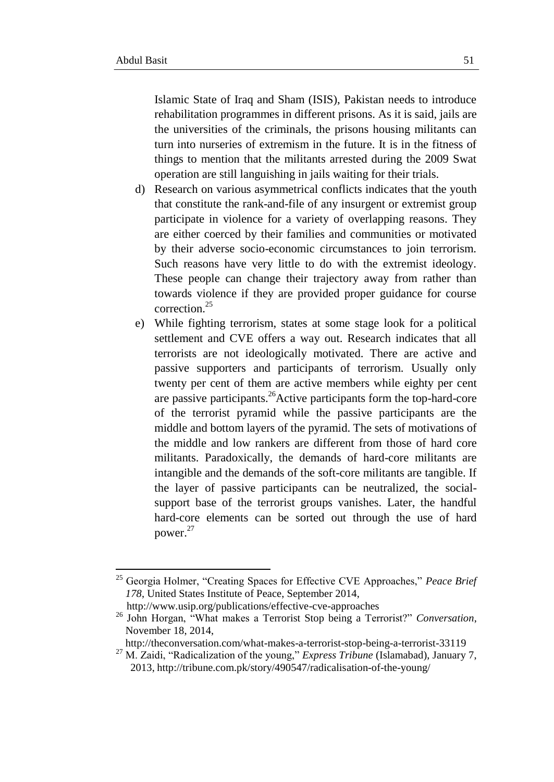1

Islamic State of Iraq and Sham (ISIS), Pakistan needs to introduce rehabilitation programmes in different prisons. As it is said, jails are the universities of the criminals, the prisons housing militants can turn into nurseries of extremism in the future. It is in the fitness of things to mention that the militants arrested during the 2009 Swat operation are still languishing in jails waiting for their trials.

- d) Research on various asymmetrical conflicts indicates that the youth that constitute the rank-and-file of any insurgent or extremist group participate in violence for a variety of overlapping reasons. They are either coerced by their families and communities or motivated by their adverse socio-economic circumstances to join terrorism. Such reasons have very little to do with the extremist ideology. These people can change their trajectory away from rather than towards violence if they are provided proper guidance for course correction.<sup>25</sup>
- e) While fighting terrorism, states at some stage look for a political settlement and CVE offers a way out. Research indicates that all terrorists are not ideologically motivated. There are active and passive supporters and participants of terrorism. Usually only twenty per cent of them are active members while eighty per cent are passive participants.<sup>26</sup>Active participants form the top-hard-core of the terrorist pyramid while the passive participants are the middle and bottom layers of the pyramid. The sets of motivations of the middle and low rankers are different from those of hard core militants. Paradoxically, the demands of hard-core militants are intangible and the demands of the soft-core militants are tangible. If the layer of passive participants can be neutralized, the socialsupport base of the terrorist groups vanishes. Later, the handful hard-core elements can be sorted out through the use of hard power.<sup>27</sup>

http://www.usip.org/publications/effective-cve-approaches

<sup>25</sup> Georgia Holmer, "Creating Spaces for Effective CVE Approaches," *Peace Brief 178*, United States Institute of Peace, September 2014,

<sup>26</sup> John Horgan, "What makes a Terrorist Stop being a Terrorist?" *Conversation*, November 18, 2014,

http://theconversation.com/what-makes-a-terrorist-stop-being-a-terrorist-33119

<sup>27</sup> M. Zaidi, "Radicalization of the young," *Express Tribune* (Islamabad), January 7, 2013, http://tribune.com.pk/story/490547/radicalisation-of-the-young/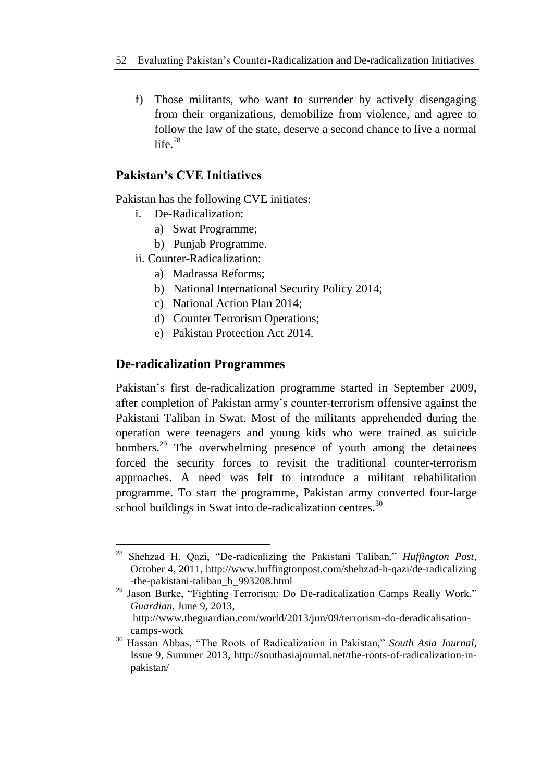f) Those militants, who want to surrender by actively disengaging from their organizations, demobilize from violence, and agree to follow the law of the state, deserve a second chance to live a normal life. $28$ 

# **Pakistan's CVE Initiatives**

Pakistan has the following CVE initiates:

- i. De-Radicalization:
	- a) Swat Programme;
	- b) Punjab Programme.
- ii. Counter-Radicalization:
	- a) Madrassa Reforms;
	- b) National International Security Policy 2014;
	- c) National Action Plan 2014;
	- d) Counter Terrorism Operations;
	- e) Pakistan Protection Act 2014.

## **De-radicalization Programmes**

Pakistan's first de-radicalization programme started in September 2009, after completion of Pakistan army"s counter-terrorism offensive against the Pakistani Taliban in Swat. Most of the militants apprehended during the operation were teenagers and young kids who were trained as suicide bombers.<sup>29</sup> The overwhelming presence of youth among the detainees forced the security forces to revisit the traditional counter-terrorism approaches. A need was felt to introduce a militant rehabilitation programme. To start the programme, Pakistan army converted four-large school buildings in Swat into de-radicalization centres.<sup>30</sup>

**<sup>.</sup>** <sup>28</sup> Shehzad H. Qazi, "De-radicalizing the Pakistani Taliban," *Huffington Post*, October 4, 2011, http://www.huffingtonpost.com/shehzad-h-qazi/de-radicalizing -the-pakistani-taliban\_b\_993208.html

 $29$  Jason Burke, "Fighting Terrorism: Do De-radicalization Camps Really Work," *Guardian*, June 9, 2013,

http://www.theguardian.com/world/2013/jun/09/terrorism-do-deradicalisationcamps-work

<sup>30</sup> Hassan Abbas, "The Roots of Radicalization in Pakistan," *South Asia Journal*, Issue 9, Summer 2013, http://southasiajournal.net/the-roots-of-radicalization-inpakistan/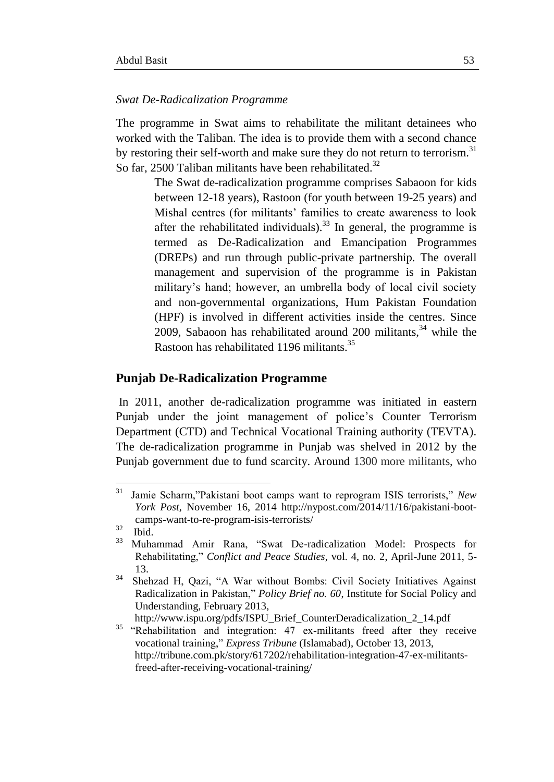#### *Swat De-Radicalization Programme*

The programme in Swat aims to rehabilitate the militant detainees who worked with the Taliban. The idea is to provide them with a second chance by restoring their self-worth and make sure they do not return to terrorism.<sup>31</sup> So far, 2500 Taliban militants have been rehabilitated.<sup>32</sup>

> The Swat de-radicalization programme comprises Sabaoon for kids between 12-18 years), Rastoon (for youth between 19-25 years) and Mishal centres (for militants' families to create awareness to look after the rehabilitated individuals).<sup>33</sup> In general, the programme is termed as De-Radicalization and Emancipation Programmes (DREPs) and run through public-private partnership. The overall management and supervision of the programme is in Pakistan military"s hand; however, an umbrella body of local civil society and non-governmental organizations, Hum Pakistan Foundation (HPF) is involved in different activities inside the centres. Since 2009, Sabaoon has rehabilitated around 200 militants, $34$  while the Rastoon has rehabilitated 1196 militants.<sup>35</sup>

#### **Punjab De-Radicalization Programme**

In 2011, another de-radicalization programme was initiated in eastern Punjab under the joint management of police"s Counter Terrorism Department (CTD) and Technical Vocational Training authority (TEVTA). The de-radicalization programme in Punjab was shelved in 2012 by the Punjab government due to fund scarcity. Around 1300 more militants, who

 $31\,$ <sup>31</sup> Jamie Scharm,"Pakistani boot camps want to reprogram ISIS terrorists," *New York Post*, November 16, 2014 http://nypost.com/2014/11/16/pakistani-bootcamps-want-to-re-program-isis-terrorists/

<sup>32</sup>  $rac{32}{33}$  Ibid.

<sup>33</sup> Muhammad Amir Rana, "Swat De-radicalization Model: Prospects for Rehabilitating," *Conflict and Peace Studies*, vol. 4, no. 2, April-June 2011, 5- 13.

<sup>&</sup>lt;sup>34</sup> Shehzad H, Qazi, "A War without Bombs: Civil Society Initiatives Against Radicalization in Pakistan," *Policy Brief no. 60*, Institute for Social Policy and Understanding, February 2013,

http://www.ispu.org/pdfs/ISPU\_Brief\_CounterDeradicalization\_2\_14.pdf

<sup>&</sup>lt;sup>35</sup> "Rehabilitation and integration: 47 ex-militants freed after they receive vocational training," *Express Tribune* (Islamabad), October 13, 2013, http://tribune.com.pk/story/617202/rehabilitation-integration-47-ex-militantsfreed-after-receiving-vocational-training/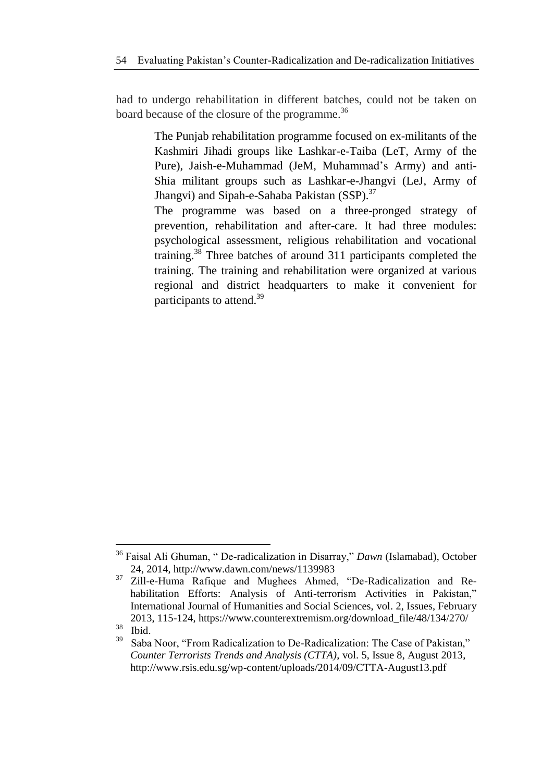had to undergo rehabilitation in different batches, could not be taken on board because of the closure of the programme.<sup>36</sup>

> The Punjab rehabilitation programme focused on ex-militants of the Kashmiri Jihadi groups like Lashkar-e-Taiba (LeT, Army of the Pure), Jaish-e-Muhammad (JeM, Muhammad"s Army) and anti-Shia militant groups such as Lashkar-e-Jhangvi (LeJ, Army of Jhangvi) and Sipah-e-Sahaba Pakistan (SSP).<sup>37</sup>

> The programme was based on a three-pronged strategy of prevention, rehabilitation and after-care. It had three modules: psychological assessment, religious rehabilitation and vocational training.<sup>38</sup> Three batches of around 311 participants completed the training. The training and rehabilitation were organized at various regional and district headquarters to make it convenient for participants to attend.<sup>39</sup>

**.** 

<sup>36</sup> Faisal Ali Ghuman, " De-radicalization in Disarray," *Dawn* (Islamabad), October 24, 2014, http://www.dawn.com/news/1139983

<sup>37</sup> Zill-e-Huma Rafique and Mughees Ahmed, "De-Radicalization and Rehabilitation Efforts: Analysis of Anti-terrorism Activities in Pakistan," International Journal of Humanities and Social Sciences, vol. 2, Issues, February 2013, 115-124, https://www.counterextremism.org/download\_file/48/134/270/ 38

Ibid.

<sup>39</sup> Saba Noor, "From Radicalization to De-Radicalization: The Case of Pakistan," *Counter Terrorists Trends and Analysis (CTTA)*, vol. 5, Issue 8, August 2013, http://www.rsis.edu.sg/wp-content/uploads/2014/09/CTTA-August13.pdf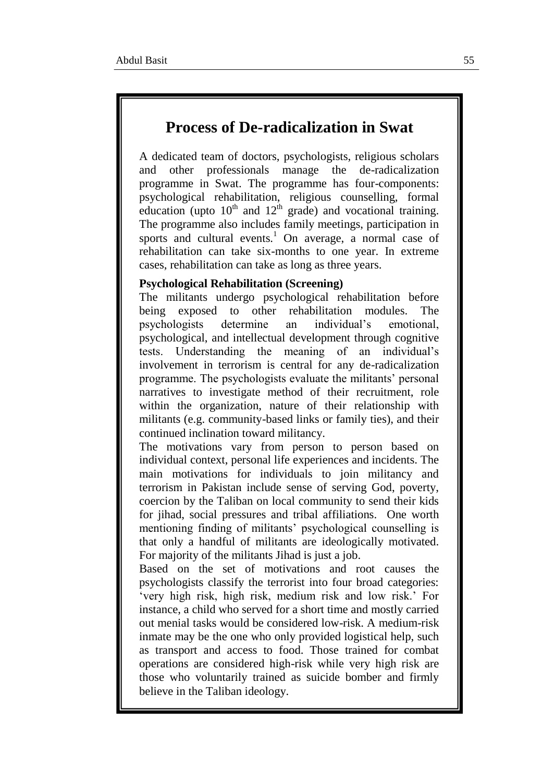# **Process of De-radicalization in Swat**

A dedicated team of doctors, psychologists, religious scholars and other professionals manage the de-radicalization programme in Swat. The programme has four-components: psychological rehabilitation, religious counselling, formal education (upto  $10<sup>th</sup>$  and  $12<sup>th</sup>$  grade) and vocational training. The programme also includes family meetings, participation in sports and cultural events.<sup>1</sup> On average, a normal case of rehabilitation can take six-months to one year. In extreme cases, rehabilitation can take as long as three years.

#### **Psychological Rehabilitation (Screening)**

The militants undergo psychological rehabilitation before being exposed to other rehabilitation modules. The psychologists determine an individual"s emotional, psychological, and intellectual development through cognitive tests. Understanding the meaning of an individual"s involvement in terrorism is central for any de-radicalization programme. The psychologists evaluate the militants" personal narratives to investigate method of their recruitment, role within the organization, nature of their relationship with militants (e.g. community-based links or family ties), and their continued inclination toward militancy.

The motivations vary from person to person based on individual context, personal life experiences and incidents. The main motivations for individuals to join militancy and terrorism in Pakistan include sense of serving God, poverty, coercion by the Taliban on local community to send their kids for jihad, social pressures and tribal affiliations. One worth mentioning finding of militants' psychological counselling is that only a handful of militants are ideologically motivated. For majority of the militants Jihad is just a job.

Based on the set of motivations and root causes the psychologists classify the terrorist into four broad categories: "very high risk, high risk, medium risk and low risk." For instance, a child who served for a short time and mostly carried out menial tasks would be considered low-risk. A medium-risk inmate may be the one who only provided logistical help, such as transport and access to food. Those trained for combat operations are considered high-risk while very high risk are those who voluntarily trained as suicide bomber and firmly believe in the Taliban ideology.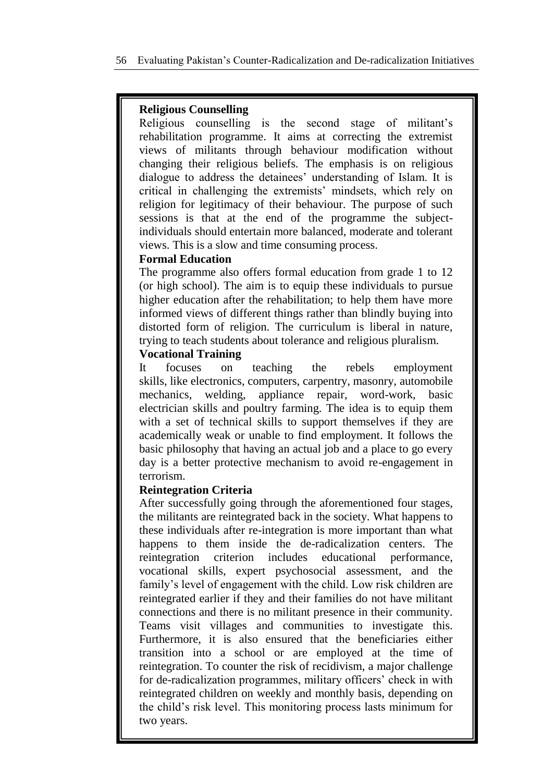# **Religious Counselling**

Religious counselling is the second stage of militant"s rehabilitation programme. It aims at correcting the extremist views of militants through behaviour modification without changing their religious beliefs. The emphasis is on religious dialogue to address the detainees" understanding of Islam. It is critical in challenging the extremists" mindsets, which rely on religion for legitimacy of their behaviour. The purpose of such sessions is that at the end of the programme the subjectindividuals should entertain more balanced, moderate and tolerant views. This is a slow and time consuming process.

# **Formal Education**

The programme also offers formal education from grade 1 to 12 (or high school). The aim is to equip these individuals to pursue higher education after the rehabilitation; to help them have more informed views of different things rather than blindly buying into distorted form of religion. The curriculum is liberal in nature, trying to teach students about tolerance and religious pluralism.

# **Vocational Training**

It focuses on teaching the rebels employment skills, like electronics, computers, carpentry, masonry, automobile mechanics, welding, appliance repair, word-work, basic electrician skills and poultry farming. The idea is to equip them with a set of technical skills to support themselves if they are academically weak or unable to find employment. It follows the basic philosophy that having an actual job and a place to go every day is a better protective mechanism to avoid re-engagement in terrorism.

## **Reintegration Criteria**

After successfully going through the aforementioned four stages, the militants are reintegrated back in the society. What happens to these individuals after re-integration is more important than what happens to them inside the de-radicalization centers. The reintegration criterion includes educational performance, vocational skills, expert psychosocial assessment, and the family's level of engagement with the child. Low risk children are reintegrated earlier if they and their families do not have militant connections and there is no militant presence in their community. Teams visit villages and communities to investigate this. Furthermore, it is also ensured that the beneficiaries either transition into a school or are employed at the time of reintegration. To counter the risk of recidivism, a major challenge for de-radicalization programmes, military officers' check in with reintegrated children on weekly and monthly basis, depending on the child"s risk level. This monitoring process lasts minimum for two years.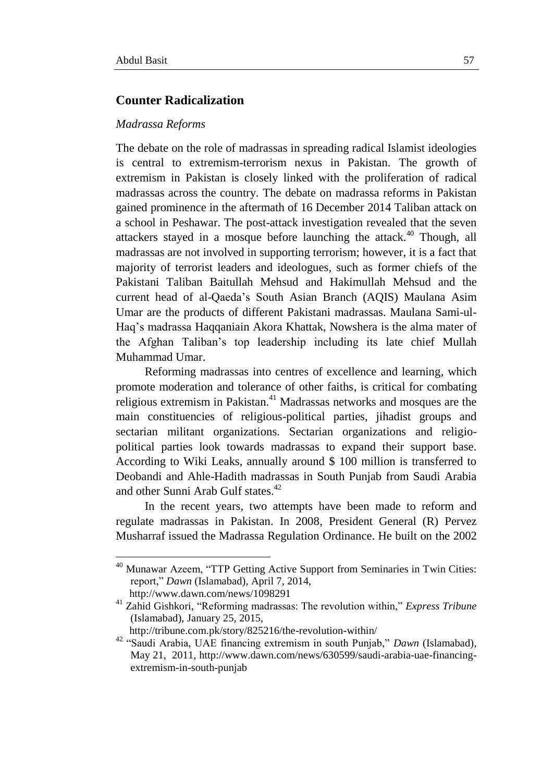**.** 

## **Counter Radicalization**

#### *Madrassa Reforms*

The debate on the role of madrassas in spreading radical Islamist ideologies is central to extremism-terrorism nexus in Pakistan. The growth of extremism in Pakistan is closely linked with the proliferation of radical madrassas across the country. The debate on madrassa reforms in Pakistan gained prominence in the aftermath of 16 December 2014 Taliban attack on a school in Peshawar. The post-attack investigation revealed that the seven attackers stayed in a mosque before launching the attack.<sup>40</sup> Though, all madrassas are not involved in supporting terrorism; however, it is a fact that majority of terrorist leaders and ideologues, such as former chiefs of the Pakistani Taliban Baitullah Mehsud and Hakimullah Mehsud and the current head of al-Qaeda"s South Asian Branch (AQIS) Maulana Asim Umar are the products of different Pakistani madrassas. Maulana Sami-ul-Haq"s madrassa Haqqaniain Akora Khattak, Nowshera is the alma mater of the Afghan Taliban"s top leadership including its late chief Mullah Muhammad Umar.

Reforming madrassas into centres of excellence and learning, which promote moderation and tolerance of other faiths, is critical for combating religious extremism in Pakistan.<sup>41</sup> Madrassas networks and mosques are the main constituencies of religious-political parties, jihadist groups and sectarian militant organizations. Sectarian organizations and religiopolitical parties look towards madrassas to expand their support base. According to Wiki Leaks, annually around \$ 100 million is transferred to Deobandi and Ahle-Hadith madrassas in South Punjab from Saudi Arabia and other Sunni Arab Gulf states.<sup>42</sup>

In the recent years, two attempts have been made to reform and regulate madrassas in Pakistan. In 2008, President General (R) Pervez Musharraf issued the Madrassa Regulation Ordinance. He built on the 2002

<sup>&</sup>lt;sup>40</sup> Munawar Azeem, "TTP Getting Active Support from Seminaries in Twin Cities: report," *Dawn* (Islamabad), April 7, 2014, http://www.dawn.com/news/1098291

<sup>41</sup> Zahid Gishkori, "Reforming madrassas: The revolution within," *Express Tribune* (Islamabad), January 25, 2015,

http://tribune.com.pk/story/825216/the-revolution-within/

<sup>42</sup> "Saudi Arabia, UAE financing extremism in south Punjab," *Dawn* (Islamabad), May 21, 2011, http://www.dawn.com/news/630599/saudi-arabia-uae-financingextremism-in-south-punjab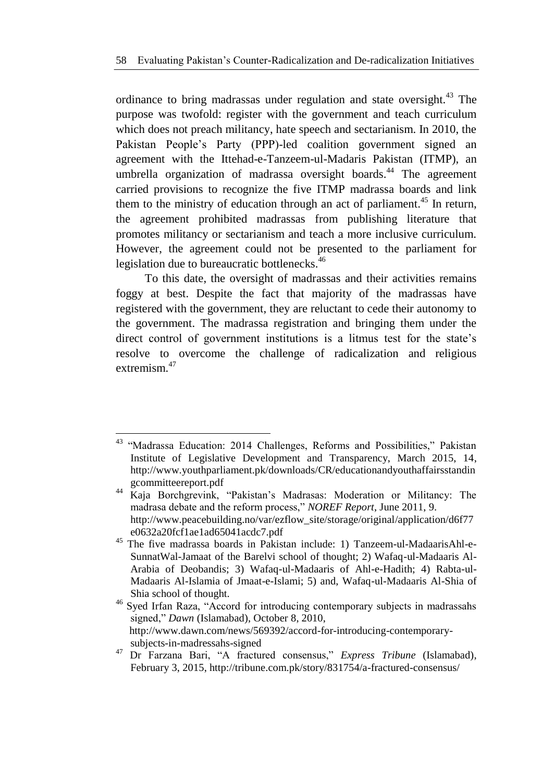ordinance to bring madrassas under regulation and state oversight.<sup>43</sup> The purpose was twofold: register with the government and teach curriculum which does not preach militancy, hate speech and sectarianism. In 2010, the Pakistan People"s Party (PPP)-led coalition government signed an agreement with the Ittehad-e-Tanzeem-ul-Madaris Pakistan (ITMP), an umbrella organization of madrassa oversight boards.<sup>44</sup> The agreement carried provisions to recognize the five ITMP madrassa boards and link them to the ministry of education through an act of parliament.<sup>45</sup> In return, the agreement prohibited madrassas from publishing literature that promotes militancy or sectarianism and teach a more inclusive curriculum. However, the agreement could not be presented to the parliament for legislation due to bureaucratic bottlenecks.<sup>46</sup>

To this date, the oversight of madrassas and their activities remains foggy at best. Despite the fact that majority of the madrassas have registered with the government, they are reluctant to cede their autonomy to the government. The madrassa registration and bringing them under the direct control of government institutions is a litmus test for the state"s resolve to overcome the challenge of radicalization and religious extremism.<sup>47</sup>

<sup>1</sup> <sup>43</sup> "Madrassa Education: 2014 Challenges, Reforms and Possibilities," Pakistan Institute of Legislative Development and Transparency, March 2015, 14, http://www.youthparliament.pk/downloads/CR/educationandyouthaffairsstandin gcommitteereport.pdf

<sup>44</sup> Kaja Borchgrevink, "Pakistan"s Madrasas: Moderation or Militancy: The madrasa debate and the reform process," *NOREF Report*, June 2011, 9. http://www.peacebuilding.no/var/ezflow\_site/storage/original/application/d6f77 e0632a20fcf1ae1ad65041acdc7.pdf

<sup>45</sup> The five madrassa boards in Pakistan include: 1) Tanzeem-ul-MadaarisAhl-e-SunnatWal-Jamaat of the Barelvi school of thought; 2) Wafaq-ul-Madaaris Al-Arabia of Deobandis; 3) Wafaq-ul-Madaaris of Ahl-e-Hadith; 4) Rabta-ul-Madaaris Al-Islamia of Jmaat-e-Islami; 5) and, Wafaq-ul-Madaaris Al-Shia of Shia school of thought.

<sup>46</sup> Syed Irfan Raza, "Accord for introducing contemporary subjects in madrassahs signed," *Dawn* (Islamabad), October 8, 2010, http://www.dawn.com/news/569392/accord-for-introducing-contemporarysubjects-in-madressahs-signed

<sup>47</sup> Dr Farzana Bari, "A fractured consensus," *Express Tribune* (Islamabad), February 3, 2015, http://tribune.com.pk/story/831754/a-fractured-consensus/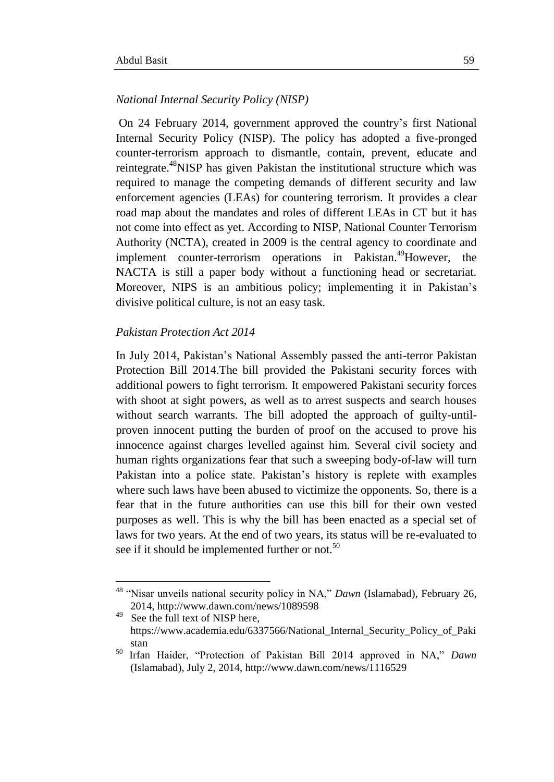#### *National Internal Security Policy (NISP)*

On 24 February 2014, government approved the country"s first National Internal Security Policy (NISP). The policy has adopted a five-pronged counter-terrorism approach to dismantle, contain, prevent, educate and reintegrate.<sup>48</sup>NISP has given Pakistan the institutional structure which was required to manage the competing demands of different security and law enforcement agencies (LEAs) for countering terrorism. It provides a clear road map about the mandates and roles of different LEAs in CT but it has not come into effect as yet. According to NISP, National Counter Terrorism Authority (NCTA), created in 2009 is the central agency to coordinate and implement counter-terrorism operations in Pakistan.<sup>49</sup>However, the NACTA is still a paper body without a functioning head or secretariat. Moreover, NIPS is an ambitious policy; implementing it in Pakistan"s divisive political culture, is not an easy task.

#### *Pakistan Protection Act 2014*

**.** 

In July 2014, Pakistan"s National Assembly passed the anti-terror Pakistan Protection Bill 2014.The bill provided the Pakistani security forces with additional powers to fight terrorism. It empowered Pakistani security forces with shoot at sight powers, as well as to arrest suspects and search houses without search warrants. The bill adopted the approach of guilty-untilproven innocent putting the burden of proof on the accused to prove his innocence against charges levelled against him. Several civil society and human rights organizations fear that such a sweeping body-of-law will turn Pakistan into a police state. Pakistan"s history is replete with examples where such laws have been abused to victimize the opponents. So, there is a fear that in the future authorities can use this bill for their own vested purposes as well. This is why the bill has been enacted as a special set of laws for two years. At the end of two years, its status will be re-evaluated to see if it should be implemented further or not.<sup>50</sup>

<sup>48</sup> "Nisar unveils national security policy in NA," *Dawn* (Islamabad), February 26, 2014, http://www.dawn.com/news/1089598

<sup>49</sup> See the full text of NISP here, https://www.academia.edu/6337566/National\_Internal\_Security\_Policy\_of\_Paki stan

<sup>50</sup> Irfan Haider, "Protection of Pakistan Bill 2014 approved in NA," *Dawn* (Islamabad), July 2, 2014, http://www.dawn.com/news/1116529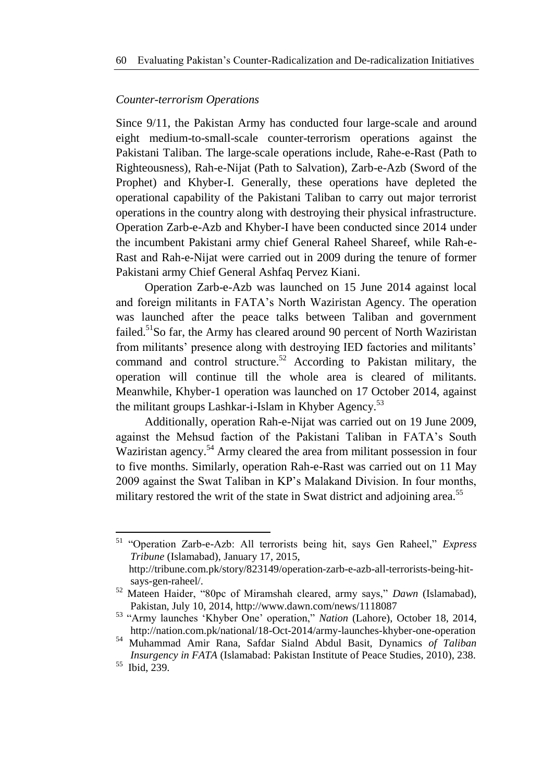## *Counter-terrorism Operations*

Since 9/11, the Pakistan Army has conducted four large-scale and around eight medium-to-small-scale counter-terrorism operations against the Pakistani Taliban. The large-scale operations include, Rahe-e-Rast (Path to Righteousness), Rah-e-Nijat (Path to Salvation), Zarb-e-Azb (Sword of the Prophet) and Khyber-I. Generally, these operations have depleted the operational capability of the Pakistani Taliban to carry out major terrorist operations in the country along with destroying their physical infrastructure. Operation Zarb-e-Azb and Khyber-I have been conducted since 2014 under the incumbent Pakistani army chief General Raheel Shareef, while Rah-e-Rast and Rah-e-Nijat were carried out in 2009 during the tenure of former Pakistani army Chief General Ashfaq Pervez Kiani.

Operation Zarb-e-Azb was launched on 15 June 2014 against local and foreign militants in FATA"s North Waziristan Agency. The operation was launched after the peace talks between Taliban and government failed.<sup>51</sup>So far, the Army has cleared around 90 percent of North Waziristan from militants' presence along with destroying IED factories and militants' command and control structure.<sup>52</sup> According to Pakistan military, the operation will continue till the whole area is cleared of militants. Meanwhile, Khyber-1 operation was launched on 17 October 2014, against the militant groups Lashkar-i-Islam in Khyber Agency.<sup>53</sup>

Additionally, operation Rah-e-Nijat was carried out on 19 June 2009, against the Mehsud faction of the Pakistani Taliban in FATA"s South Waziristan agency.<sup>54</sup> Army cleared the area from militant possession in four to five months. Similarly, operation Rah-e-Rast was carried out on 11 May 2009 against the Swat Taliban in KP"s Malakand Division. In four months, military restored the writ of the state in Swat district and adjoining area.<sup>55</sup>

1

<sup>51</sup> "Operation Zarb-e-Azb: All terrorists being hit, says Gen Raheel," *Express Tribune* (Islamabad), January 17, 2015,

http://tribune.com.pk/story/823149/operation-zarb-e-azb-all-terrorists-being-hitsays-gen-raheel/.

<sup>52</sup> Mateen Haider, "80pc of Miramshah cleared, army says," *Dawn* (Islamabad), Pakistan, July 10, 2014, http://www.dawn.com/news/1118087

<sup>53</sup> "Army launches "Khyber One" operation," *Nation* (Lahore), October 18, 2014, http://nation.com.pk/national/18-Oct-2014/army-launches-khyber-one-operation

<sup>54</sup> Muhammad Amir Rana, Safdar Sialnd Abdul Basit, Dynamics *of Taliban Insurgency in FATA* (Islamabad: Pakistan Institute of Peace Studies, 2010), 238.

<sup>&</sup>lt;sup>55</sup> Ibid, 239.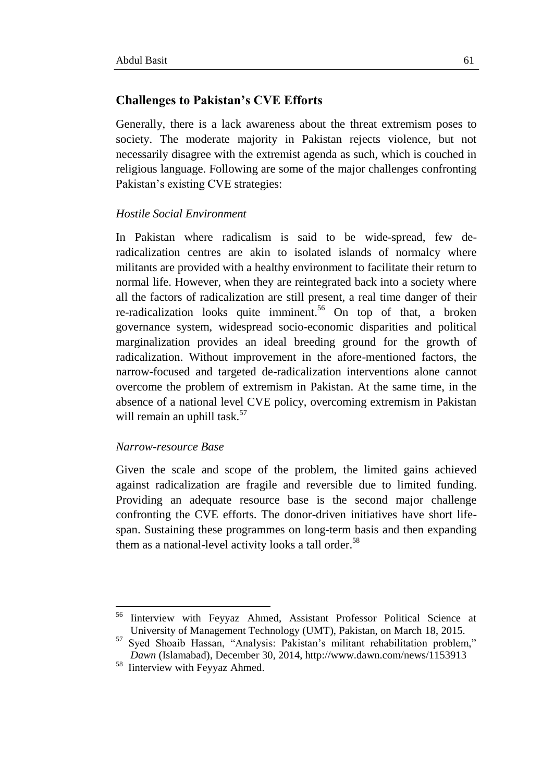## **Challenges to Pakistan's CVE Efforts**

Generally, there is a lack awareness about the threat extremism poses to society. The moderate majority in Pakistan rejects violence, but not necessarily disagree with the extremist agenda as such, which is couched in religious language. Following are some of the major challenges confronting Pakistan's existing CVE strategies:

## *Hostile Social Environment*

In Pakistan where radicalism is said to be wide-spread, few deradicalization centres are akin to isolated islands of normalcy where militants are provided with a healthy environment to facilitate their return to normal life. However, when they are reintegrated back into a society where all the factors of radicalization are still present, a real time danger of their re-radicalization looks quite imminent.<sup>56</sup> On top of that, a broken governance system, widespread socio-economic disparities and political marginalization provides an ideal breeding ground for the growth of radicalization. Without improvement in the afore-mentioned factors, the narrow-focused and targeted de-radicalization interventions alone cannot overcome the problem of extremism in Pakistan. At the same time, in the absence of a national level CVE policy, overcoming extremism in Pakistan will remain an uphill task.<sup>57</sup>

## *Narrow-resource Base*

1

Given the scale and scope of the problem, the limited gains achieved against radicalization are fragile and reversible due to limited funding. Providing an adequate resource base is the second major challenge confronting the CVE efforts. The donor-driven initiatives have short lifespan. Sustaining these programmes on long-term basis and then expanding them as a national-level activity looks a tall order.<sup>58</sup>

<sup>&</sup>lt;sup>56</sup> Iinterview with Feyyaz Ahmed, Assistant Professor Political Science at University of Management Technology (UMT), Pakistan, on March 18, 2015.

<sup>&</sup>lt;sup>57</sup> Syed Shoaib Hassan, "Analysis: Pakistan's militant rehabilitation problem," *Dawn* (Islamabad), December 30, 2014, http://www.dawn.com/news/1153913

<sup>58</sup> Iinterview with Feyyaz Ahmed.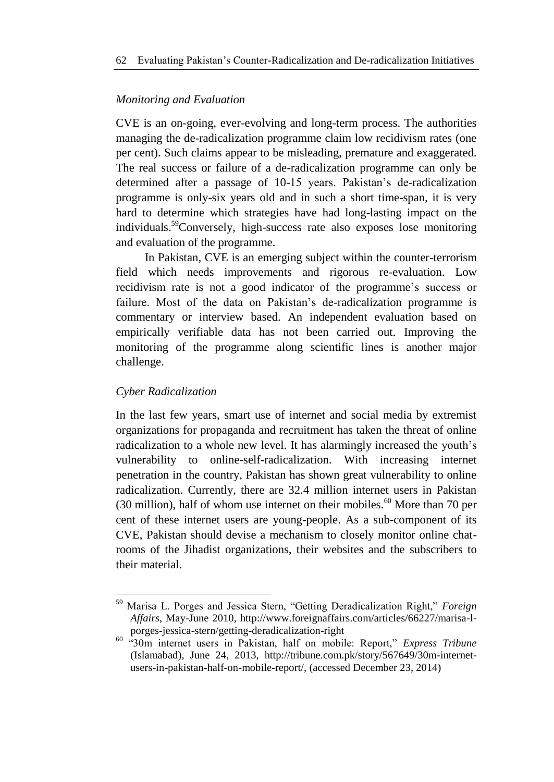## *Monitoring and Evaluation*

CVE is an on-going, ever-evolving and long-term process. The authorities managing the de-radicalization programme claim low recidivism rates (one per cent). Such claims appear to be misleading, premature and exaggerated. The real success or failure of a de-radicalization programme can only be determined after a passage of 10-15 years. Pakistan's de-radicalization programme is only-six years old and in such a short time-span, it is very hard to determine which strategies have had long-lasting impact on the individuals.<sup>59</sup>Conversely, high-success rate also exposes lose monitoring and evaluation of the programme.

In Pakistan, CVE is an emerging subject within the counter-terrorism field which needs improvements and rigorous re-evaluation. Low recidivism rate is not a good indicator of the programme's success or failure. Most of the data on Pakistan"s de-radicalization programme is commentary or interview based. An independent evaluation based on empirically verifiable data has not been carried out. Improving the monitoring of the programme along scientific lines is another major challenge.

## *Cyber Radicalization*

**.** 

In the last few years, smart use of internet and social media by extremist organizations for propaganda and recruitment has taken the threat of online radicalization to a whole new level. It has alarmingly increased the youth's vulnerability to online-self-radicalization. With increasing internet penetration in the country, Pakistan has shown great vulnerability to online radicalization. Currently, there are 32.4 million internet users in Pakistan (30 million), half of whom use internet on their mobiles.<sup>60</sup> More than 70 per cent of these internet users are young-people. As a sub-component of its CVE, Pakistan should devise a mechanism to closely monitor online chatrooms of the Jihadist organizations, their websites and the subscribers to their material.

<sup>59</sup> Marisa L. Porges and Jessica Stern, "Getting Deradicalization Right," *Foreign Affairs*, May-June 2010, http://www.foreignaffairs.com/articles/66227/marisa-lporges-jessica-stern/getting-deradicalization-right

<sup>60</sup> "30m internet users in Pakistan, half on mobile: Report," *Express Tribune* (Islamabad), June 24, 2013, http://tribune.com.pk/story/567649/30m-internetusers-in-pakistan-half-on-mobile-report/, (accessed December 23, 2014)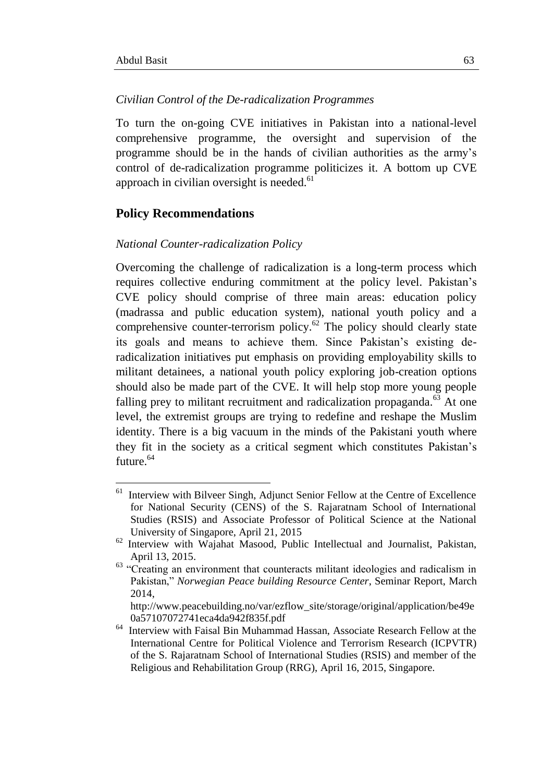-

#### *Civilian Control of the De-radicalization Programmes*

To turn the on-going CVE initiatives in Pakistan into a national-level comprehensive programme, the oversight and supervision of the programme should be in the hands of civilian authorities as the army"s control of de-radicalization programme politicizes it. A bottom up CVE approach in civilian oversight is needed. $61$ 

#### **Policy Recommendations**

#### *National Counter-radicalization Policy*

Overcoming the challenge of radicalization is a long-term process which requires collective enduring commitment at the policy level. Pakistan"s CVE policy should comprise of three main areas: education policy (madrassa and public education system), national youth policy and a comprehensive counter-terrorism policy. $62$  The policy should clearly state its goals and means to achieve them. Since Pakistan"s existing deradicalization initiatives put emphasis on providing employability skills to militant detainees, a national youth policy exploring job-creation options should also be made part of the CVE. It will help stop more young people falling prey to militant recruitment and radicalization propaganda. $^{63}$  At one level, the extremist groups are trying to redefine and reshape the Muslim identity. There is a big vacuum in the minds of the Pakistani youth where they fit in the society as a critical segment which constitutes Pakistan"s future.<sup>64</sup>

<sup>61</sup> Interview with Bilveer Singh, Adjunct Senior Fellow at the Centre of Excellence for National Security (CENS) of the S. Rajaratnam School of International Studies (RSIS) and Associate Professor of Political Science at the National University of Singapore, April 21, 2015

<sup>62</sup> Interview with Wajahat Masood, Public Intellectual and Journalist, Pakistan, April 13, 2015.

<sup>&</sup>lt;sup>63</sup> "Creating an environment that counteracts militant ideologies and radicalism in Pakistan," *Norwegian Peace building Resource Center*, Seminar Report, March 2014,

http://www.peacebuilding.no/var/ezflow\_site/storage/original/application/be49e 0a57107072741eca4da942f835f.pdf

<sup>64</sup> Interview with Faisal Bin Muhammad Hassan, Associate Research Fellow at the International Centre for Political Violence and Terrorism Research (ICPVTR) of the S. Rajaratnam School of International Studies (RSIS) and member of the Religious and Rehabilitation Group (RRG), April 16, 2015, Singapore.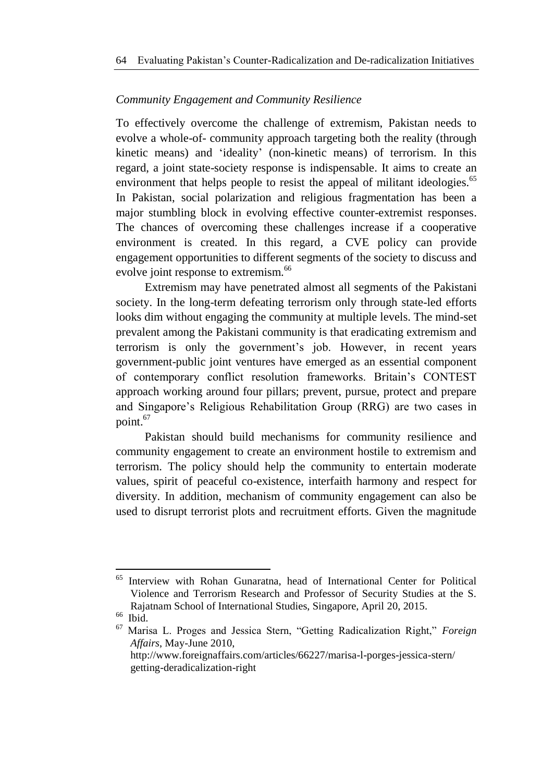## *Community Engagement and Community Resilience*

To effectively overcome the challenge of extremism, Pakistan needs to evolve a whole-of- community approach targeting both the reality (through kinetic means) and "ideality" (non-kinetic means) of terrorism. In this regard, a joint state-society response is indispensable. It aims to create an environment that helps people to resist the appeal of militant ideologies.<sup>65</sup> In Pakistan, social polarization and religious fragmentation has been a major stumbling block in evolving effective counter-extremist responses. The chances of overcoming these challenges increase if a cooperative environment is created. In this regard, a CVE policy can provide engagement opportunities to different segments of the society to discuss and evolve joint response to extremism.<sup>66</sup>

Extremism may have penetrated almost all segments of the Pakistani society. In the long-term defeating terrorism only through state-led efforts looks dim without engaging the community at multiple levels. The mind-set prevalent among the Pakistani community is that eradicating extremism and terrorism is only the government"s job. However, in recent years government-public joint ventures have emerged as an essential component of contemporary conflict resolution frameworks. Britain"s CONTEST approach working around four pillars; prevent, pursue, protect and prepare and Singapore"s Religious Rehabilitation Group (RRG) are two cases in point.<sup>67</sup>

Pakistan should build mechanisms for community resilience and community engagement to create an environment hostile to extremism and terrorism. The policy should help the community to entertain moderate values, spirit of peaceful co-existence, interfaith harmony and respect for diversity. In addition, mechanism of community engagement can also be used to disrupt terrorist plots and recruitment efforts. Given the magnitude

<sup>66</sup> Ibid.

1

<sup>65</sup> Interview with Rohan Gunaratna, head of International Center for Political Violence and Terrorism Research and Professor of Security Studies at the S. Rajatnam School of International Studies, Singapore, April 20, 2015.

<sup>67</sup> Marisa L. Proges and Jessica Stern, "Getting Radicalization Right," *Foreign Affairs*, May-June 2010,

http://www.foreignaffairs.com/articles/66227/marisa-l-porges-jessica-stern/ getting-deradicalization-right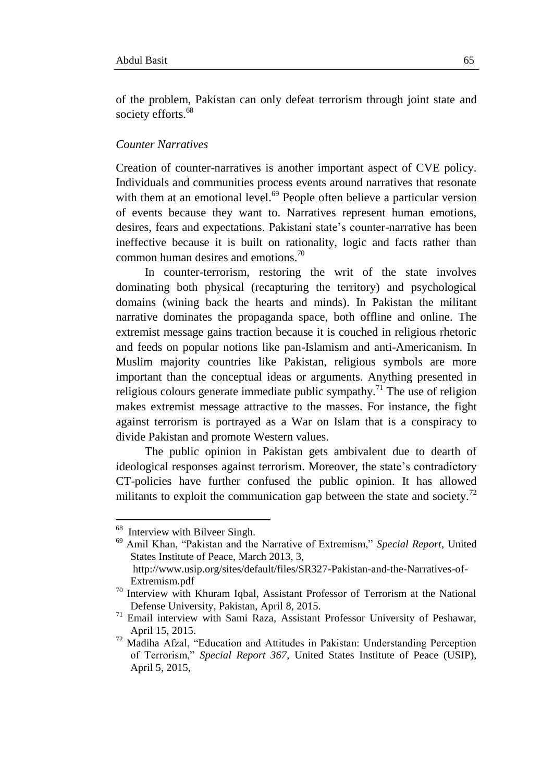of the problem, Pakistan can only defeat terrorism through joint state and society efforts.<sup>68</sup>

#### *Counter Narratives*

Creation of counter-narratives is another important aspect of CVE policy. Individuals and communities process events around narratives that resonate with them at an emotional level.<sup>69</sup> People often believe a particular version of events because they want to. Narratives represent human emotions, desires, fears and expectations. Pakistani state"s counter-narrative has been ineffective because it is built on rationality, logic and facts rather than common human desires and emotions.<sup>70</sup>

In counter-terrorism, restoring the writ of the state involves dominating both physical (recapturing the territory) and psychological domains (wining back the hearts and minds). In Pakistan the militant narrative dominates the propaganda space, both offline and online. The extremist message gains traction because it is couched in religious rhetoric and feeds on popular notions like pan-Islamism and anti-Americanism. In Muslim majority countries like Pakistan, religious symbols are more important than the conceptual ideas or arguments. Anything presented in religious colours generate immediate public sympathy.<sup>71</sup> The use of religion makes extremist message attractive to the masses. For instance, the fight against terrorism is portrayed as a War on Islam that is a conspiracy to divide Pakistan and promote Western values.

The public opinion in Pakistan gets ambivalent due to dearth of ideological responses against terrorism. Moreover, the state's contradictory CT-policies have further confused the public opinion. It has allowed militants to exploit the communication gap between the state and society.<sup>72</sup>

1

<sup>&</sup>lt;sup>68</sup> Interview with Bilveer Singh.

<sup>69</sup> Amil Khan, "Pakistan and the Narrative of Extremism," *Special Report*, United States Institute of Peace, March 2013, 3, http://www.usip.org/sites/default/files/SR327-Pakistan-and-the-Narratives-of-

Extremism.pdf

<sup>&</sup>lt;sup>70</sup> Interview with Khuram Iqbal, Assistant Professor of Terrorism at the National Defense University, Pakistan, April 8, 2015.

<sup>71</sup> Email interview with Sami Raza, Assistant Professor University of Peshawar, April 15, 2015.

 $72$  Madiha Afzal, "Education and Attitudes in Pakistan: Understanding Perception of Terrorism," *Special Report 367*, United States Institute of Peace (USIP), April 5, 2015,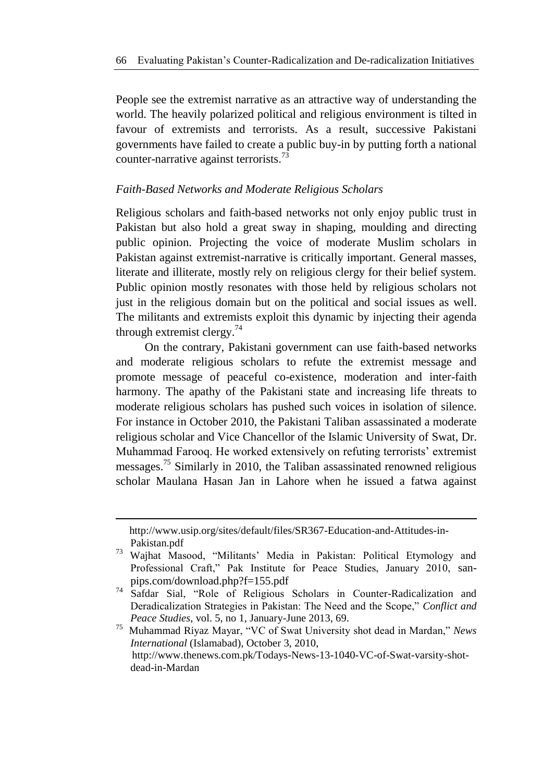People see the extremist narrative as an attractive way of understanding the world. The heavily polarized political and religious environment is tilted in favour of extremists and terrorists. As a result, successive Pakistani governments have failed to create a public buy-in by putting forth a national counter-narrative against terrorists.<sup>73</sup>

#### *Faith-Based Networks and Moderate Religious Scholars*

Religious scholars and faith-based networks not only enjoy public trust in Pakistan but also hold a great sway in shaping, moulding and directing public opinion. Projecting the voice of moderate Muslim scholars in Pakistan against extremist-narrative is critically important. General masses, literate and illiterate, mostly rely on religious clergy for their belief system. Public opinion mostly resonates with those held by religious scholars not just in the religious domain but on the political and social issues as well. The militants and extremists exploit this dynamic by injecting their agenda through extremist clergy. $74$ 

On the contrary, Pakistani government can use faith-based networks and moderate religious scholars to refute the extremist message and promote message of peaceful co-existence, moderation and inter-faith harmony. The apathy of the Pakistani state and increasing life threats to moderate religious scholars has pushed such voices in isolation of silence. For instance in October 2010, the Pakistani Taliban assassinated a moderate religious scholar and Vice Chancellor of the Islamic University of Swat, Dr. Muhammad Farooq. He worked extensively on refuting terrorists' extremist messages.<sup>75</sup> Similarly in 2010, the Taliban assassinated renowned religious scholar Maulana Hasan Jan in Lahore when he issued a fatwa against

-

http://www.usip.org/sites/default/files/SR367-Education-and-Attitudes-in-Pakistan.pdf

<sup>73</sup> Wajhat Masood, "Militants" Media in Pakistan: Political Etymology and Professional Craft," Pak Institute for Peace Studies, January 2010, sanpips.com/download.php?f=155.pdf

<sup>&</sup>lt;sup>74</sup> Safdar Sial, "Role of Religious Scholars in Counter-Radicalization and Deradicalization Strategies in Pakistan: The Need and the Scope," *Conflict and Peace Studies*, vol. 5, no 1, January-June 2013, 69.

<sup>75</sup> Muhammad Riyaz Mayar, "VC of Swat University shot dead in Mardan," *News International* (Islamabad), October 3, 2010, http://www.thenews.com.pk/Todays-News-13-1040-VC-of-Swat-varsity-shotdead-in-Mardan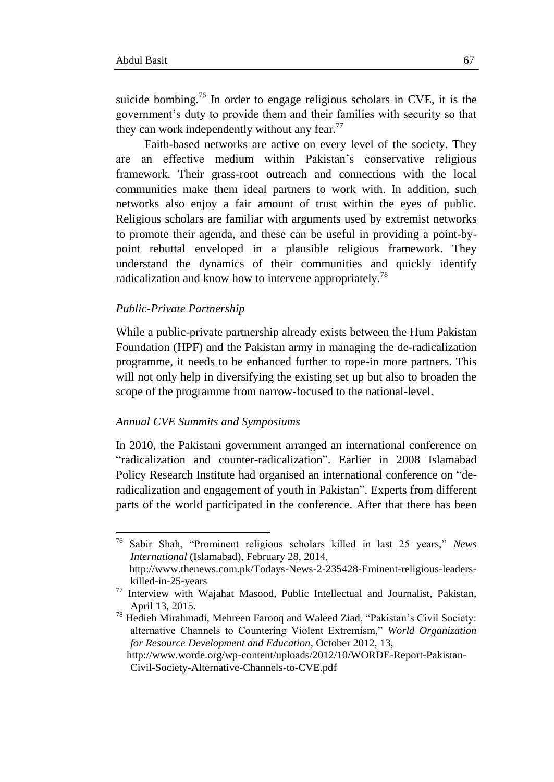suicide bombing.<sup>76</sup> In order to engage religious scholars in CVE, it is the government"s duty to provide them and their families with security so that they can work independently without any fear. $^{77}$ 

Faith-based networks are active on every level of the society. They are an effective medium within Pakistan"s conservative religious framework. Their grass-root outreach and connections with the local communities make them ideal partners to work with. In addition, such networks also enjoy a fair amount of trust within the eyes of public. Religious scholars are familiar with arguments used by extremist networks to promote their agenda, and these can be useful in providing a point-bypoint rebuttal enveloped in a plausible religious framework. They understand the dynamics of their communities and quickly identify radicalization and know how to intervene appropriately.<sup>78</sup>

#### *Public-Private Partnership*

1

While a public-private partnership already exists between the Hum Pakistan Foundation (HPF) and the Pakistan army in managing the de-radicalization programme, it needs to be enhanced further to rope-in more partners. This will not only help in diversifying the existing set up but also to broaden the scope of the programme from narrow-focused to the national-level.

#### *Annual CVE Summits and Symposiums*

In 2010, the Pakistani government arranged an international conference on "radicalization and counter-radicalization". Earlier in 2008 Islamabad Policy Research Institute had organised an international conference on "deradicalization and engagement of youth in Pakistan". Experts from different parts of the world participated in the conference. After that there has been

<sup>76</sup> Sabir Shah, "Prominent religious scholars killed in last 25 years," *News International* (Islamabad), February 28, 2014,

http://www.thenews.com.pk/Todays-News-2-235428-Eminent-religious-leaderskilled-in-25-years

<sup>77</sup> Interview with Wajahat Masood, Public Intellectual and Journalist, Pakistan, April 13, 2015.

<sup>&</sup>lt;sup>78</sup> Hedieh Mirahmadi, Mehreen Farooq and Waleed Ziad, "Pakistan's Civil Society: alternative Channels to Countering Violent Extremism," *World Organization for Resource Development and Education*, October 2012, 13,

http://www.worde.org/wp-content/uploads/2012/10/WORDE-Report-Pakistan-Civil-Society-Alternative-Channels-to-CVE.pdf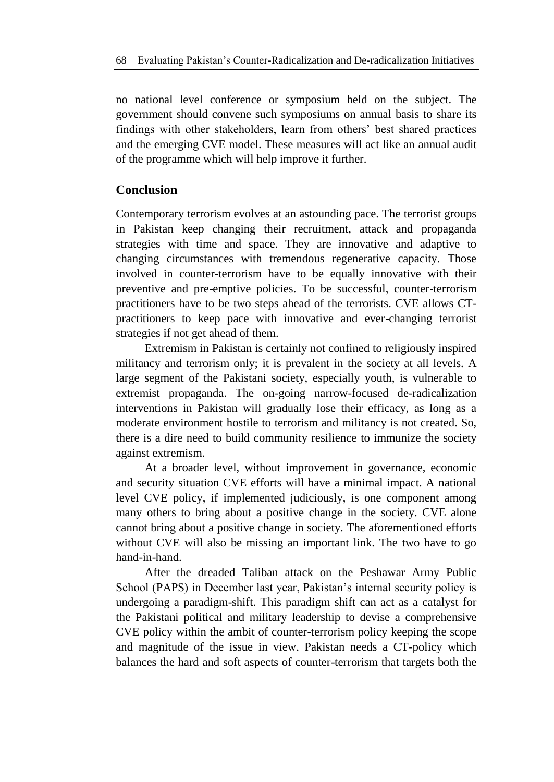no national level conference or symposium held on the subject. The government should convene such symposiums on annual basis to share its findings with other stakeholders, learn from others" best shared practices and the emerging CVE model. These measures will act like an annual audit of the programme which will help improve it further.

# **Conclusion**

Contemporary terrorism evolves at an astounding pace. The terrorist groups in Pakistan keep changing their recruitment, attack and propaganda strategies with time and space. They are innovative and adaptive to changing circumstances with tremendous regenerative capacity. Those involved in counter-terrorism have to be equally innovative with their preventive and pre-emptive policies. To be successful, counter-terrorism practitioners have to be two steps ahead of the terrorists. CVE allows CTpractitioners to keep pace with innovative and ever-changing terrorist strategies if not get ahead of them.

Extremism in Pakistan is certainly not confined to religiously inspired militancy and terrorism only; it is prevalent in the society at all levels. A large segment of the Pakistani society, especially youth, is vulnerable to extremist propaganda. The on-going narrow-focused de-radicalization interventions in Pakistan will gradually lose their efficacy, as long as a moderate environment hostile to terrorism and militancy is not created. So, there is a dire need to build community resilience to immunize the society against extremism.

At a broader level, without improvement in governance, economic and security situation CVE efforts will have a minimal impact. A national level CVE policy, if implemented judiciously, is one component among many others to bring about a positive change in the society. CVE alone cannot bring about a positive change in society. The aforementioned efforts without CVE will also be missing an important link. The two have to go hand-in-hand.

After the dreaded Taliban attack on the Peshawar Army Public School (PAPS) in December last year, Pakistan's internal security policy is undergoing a paradigm-shift. This paradigm shift can act as a catalyst for the Pakistani political and military leadership to devise a comprehensive CVE policy within the ambit of counter-terrorism policy keeping the scope and magnitude of the issue in view. Pakistan needs a CT-policy which balances the hard and soft aspects of counter-terrorism that targets both the